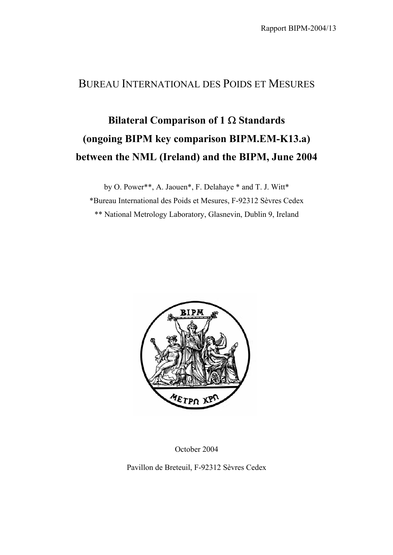## BUREAU INTERNATIONAL DES POIDS ET MESURES

## **Bilateral Comparison of 1** Ω **Standards (ongoing BIPM key comparison BIPM.EM-K13.a) between the NML (Ireland) and the BIPM, June 2004**

by O. Power\*\*, A. Jaouen\*, F. Delahaye \* and T. J. Witt\* \*Bureau International des Poids et Mesures, F-92312 Sèvres Cedex \*\* National Metrology Laboratory, Glasnevin, Dublin 9, Ireland



October 2004

Pavillon de Breteuil, F-92312 Sèvres Cedex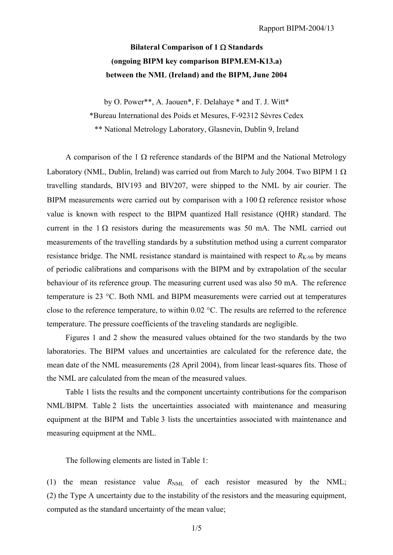## **Bilateral Comparison of 1** Ω **Standards (ongoing BIPM key comparison BIPM.EM-K13.a) between the NML (Ireland) and the BIPM, June 2004**

by O. Power\*\*, A. Jaouen\*, F. Delahaye \* and T. J. Witt\*

\*Bureau International des Poids et Mesures, F-92312 Sèvres Cedex

\*\* National Metrology Laboratory, Glasnevin, Dublin 9, Ireland

A comparison of the 1  $\Omega$  reference standards of the BIPM and the National Metrology Laboratory (NML, Dublin, Ireland) was carried out from March to July 2004. Two BIPM 1  $\Omega$ travelling standards, BIV193 and BIV207, were shipped to the NML by air courier. The BIPM measurements were carried out by comparison with a  $100 \Omega$  reference resistor whose value is known with respect to the BIPM quantized Hall resistance (QHR) standard. The current in the  $1 \Omega$  resistors during the measurements was 50 mA. The NML carried out measurements of the travelling standards by a substitution method using a current comparator resistance bridge. The NML resistance standard is maintained with respect to  $R_{K-90}$  by means of periodic calibrations and comparisons with the BIPM and by extrapolation of the secular behaviour of its reference group. The measuring current used was also 50 mA. The reference temperature is 23 °C. Both NML and BIPM measurements were carried out at temperatures close to the reference temperature, to within 0.02 °C. The results are referred to the reference temperature. The pressure coefficients of the traveling standards are negligible.

Figures 1 and 2 show the measured values obtained for the two standards by the two laboratories. The BIPM values and uncertainties are calculated for the reference date, the mean date of the NML measurements (28 April 2004), from linear least-squares fits. Those of the NML are calculated from the mean of the measured values.

Table 1 lists the results and the component uncertainty contributions for the comparison NML/BIPM. Table 2 lists the uncertainties associated with maintenance and measuring equipment at the BIPM and Table 3 lists the uncertainties associated with maintenance and measuring equipment at the NML.

The following elements are listed in Table 1:

(1) the mean resistance value  $R_{NML}$  of each resistor measured by the NML; (2) the Type A uncertainty due to the instability of the resistors and the measuring equipment, computed as the standard uncertainty of the mean value;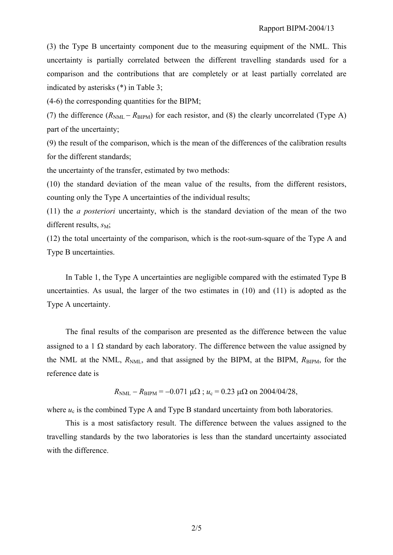(3) the Type B uncertainty component due to the measuring equipment of the NML. This uncertainty is partially correlated between the different travelling standards used for a comparison and the contributions that are completely or at least partially correlated are indicated by asterisks (\*) in Table 3;

(4-6) the corresponding quantities for the BIPM;

(7) the difference  $(R_{NML} - R_{BIPM})$  for each resistor, and (8) the clearly uncorrelated (Type A) part of the uncertainty;

(9) the result of the comparison, which is the mean of the differences of the calibration results for the different standards;

the uncertainty of the transfer, estimated by two methods:

(10) the standard deviation of the mean value of the results, from the different resistors, counting only the Type A uncertainties of the individual results;

(11) the *a posteriori* uncertainty, which is the standard deviation of the mean of the two different results,  $s_M$ ;

(12) the total uncertainty of the comparison, which is the root-sum-square of the Type A and Type B uncertainties.

In Table 1, the Type A uncertainties are negligible compared with the estimated Type B uncertainties. As usual, the larger of the two estimates in (10) and (11) is adopted as the Type A uncertainty.

The final results of the comparison are presented as the difference between the value assigned to a 1  $\Omega$  standard by each laboratory. The difference between the value assigned by the NML at the NML,  $R_{NML}$ , and that assigned by the BIPM, at the BIPM,  $R_{BIPM}$ , for the reference date is

 $R_{NML} - R_{BIPM} = -0.071 \mu\Omega$ ;  $u_c = 0.23 \mu\Omega$  on 2004/04/28,

where  $u_c$  is the combined Type A and Type B standard uncertainty from both laboratories.

This is a most satisfactory result. The difference between the values assigned to the travelling standards by the two laboratories is less than the standard uncertainty associated with the difference.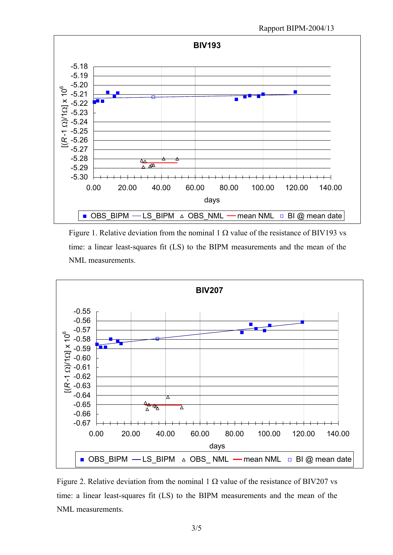

Figure 1. Relative deviation from the nominal 1  $\Omega$  value of the resistance of BIV193 vs time: a linear least-squares fit (LS) to the BIPM measurements and the mean of the NML measurements.



Figure 2. Relative deviation from the nominal 1  $\Omega$  value of the resistance of BIV207 vs time: a linear least-squares fit (LS) to the BIPM measurements and the mean of the NML measurements.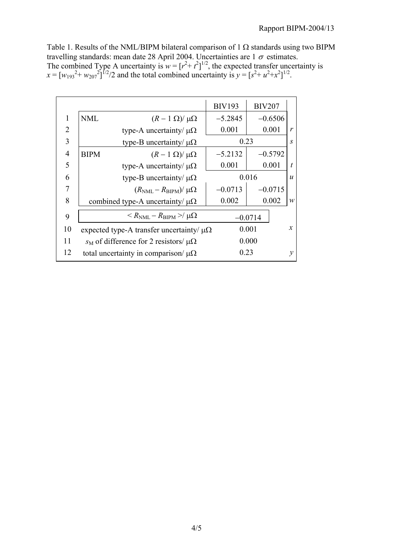Table 1. Results of the NML/BIPM bilateral comparison of 1  $\Omega$  standards using two BIPM travelling standards: mean date 28 April 2004. Uncertainties are  $1\sigma$  estimates. The combined Type A uncertainty is  $w = [r^2 + t^2]^{1/2}$ , the expected transfer uncertainty is  $x = [w_{193}^2 + w_{207}^2]^{1/2}$  and the total combined uncertainty is  $y = [s^2 + u^2 + x^2]^{1/2}$ .

|                |                                                                 | <b>BIV193</b> | <b>BIV207</b>             |                  |
|----------------|-----------------------------------------------------------------|---------------|---------------------------|------------------|
| 1              | <b>NML</b><br>$(R-1 \Omega)/\mu\Omega$                          | $-5.2845$     | $-0.6506$                 |                  |
| 2              | type-A uncertainty/ $\mu\Omega$                                 | 0.001         | 0.001                     | $\mathbf{r}$     |
| 3              | type-B uncertainty/ $\mu\Omega$                                 |               | 0.23<br>$\boldsymbol{S}$  |                  |
| $\overline{4}$ | <b>BIPM</b><br>$(R-1 \Omega)/\mu\Omega$                         | $-5.2132$     | $-0.5792$                 |                  |
| 5              | type-A uncertainty/ $\mu\Omega$                                 | 0.001         | 0.001                     | t                |
| 6              | type-B uncertainty/ $\mu\Omega$                                 |               | 0.016<br>$\boldsymbol{u}$ |                  |
| 7              | $(R_{\text{NML}} - R_{\text{BIPM}})/\mu\Omega$                  | $-0.0713$     | $-0.0715$                 |                  |
| 8              | combined type-A uncertainty/ $\mu\Omega$                        | 0.002         | 0.002                     | $\boldsymbol{w}$ |
| 9              | $\langle R_{\text{NML}} - R_{\text{BIPM}} \rangle / \mu \Omega$ |               | $-0.0714$                 |                  |
| 10             | expected type-A transfer uncertainty/ $\mu\Omega$               |               | 0.001                     | $\mathfrak{X}$   |
| 11             | $s_M$ of difference for 2 resistors/ μΩ                         |               | 0.000                     |                  |
| 12             | total uncertainty in comparison/ $\mu\Omega$                    | 0.23          |                           | ν                |
|                |                                                                 |               |                           |                  |